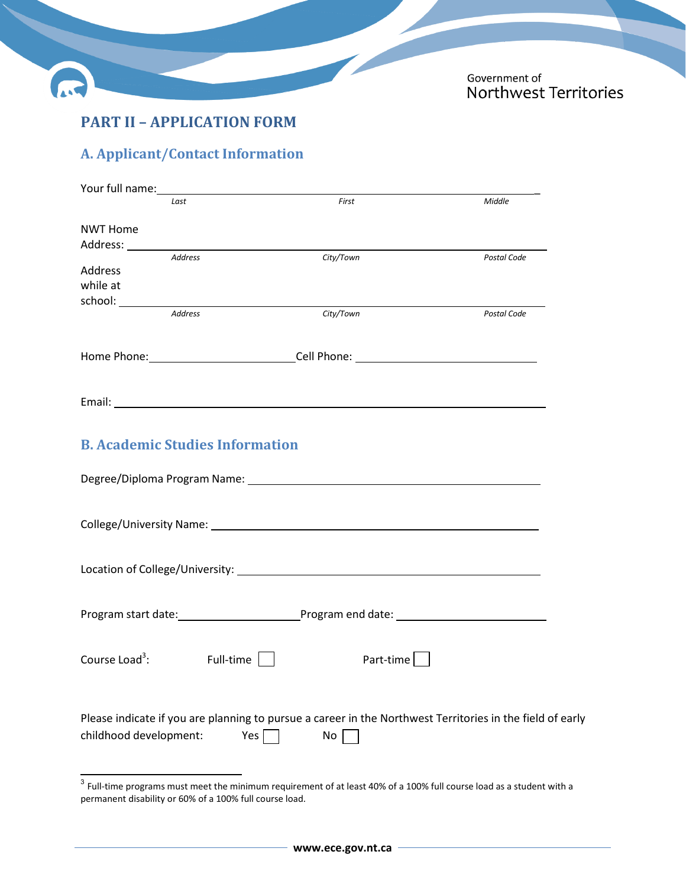

# **PART II – APPLICATION FORM**

## **A. Applicant/Contact Information**

|                            | Last                                   | First                                                                                                                                                                                                                          | Middle                                                                                                    |
|----------------------------|----------------------------------------|--------------------------------------------------------------------------------------------------------------------------------------------------------------------------------------------------------------------------------|-----------------------------------------------------------------------------------------------------------|
| <b>NWT Home</b>            |                                        |                                                                                                                                                                                                                                |                                                                                                           |
|                            |                                        |                                                                                                                                                                                                                                |                                                                                                           |
|                            | <b>Address</b>                         | City/Town                                                                                                                                                                                                                      | Postal Code                                                                                               |
| Address                    |                                        |                                                                                                                                                                                                                                |                                                                                                           |
| while at                   |                                        |                                                                                                                                                                                                                                |                                                                                                           |
|                            | Address                                | City/Town                                                                                                                                                                                                                      | Postal Code                                                                                               |
|                            |                                        |                                                                                                                                                                                                                                |                                                                                                           |
|                            |                                        | Home Phone:________________________________Cell Phone: __________________________                                                                                                                                              |                                                                                                           |
|                            |                                        | Email: Email: Email: Email: Email: Email: Email: Email: Email: Email: Email: Email: Email: Email: Email: Email: Email: Email: Email: Email: Email: Email: Email: Email: Email: Email: Email: Email: Email: Email: Email: Email |                                                                                                           |
|                            | <b>B. Academic Studies Information</b> |                                                                                                                                                                                                                                |                                                                                                           |
|                            |                                        |                                                                                                                                                                                                                                |                                                                                                           |
|                            |                                        |                                                                                                                                                                                                                                |                                                                                                           |
|                            |                                        |                                                                                                                                                                                                                                |                                                                                                           |
|                            |                                        |                                                                                                                                                                                                                                |                                                                                                           |
| Course Load <sup>3</sup> : | Full-time                              | Part-time                                                                                                                                                                                                                      |                                                                                                           |
| childhood development:     | Yes                                    | No                                                                                                                                                                                                                             | Please indicate if you are planning to pursue a career in the Northwest Territories in the field of early |

 $\frac{3}{3}$  Full-time programs must meet the minimum requirement of at least 40% of a 100% full course load as a student with a permanent disability or 60% of a 100% full course load.